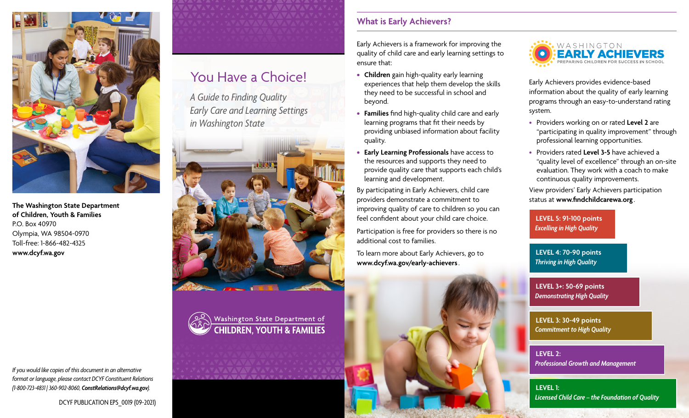

**The Washington State Department of Children, Youth & Families** P.O. Box 40970 Olympia, WA 98504-0970 Toll-free: 1-866-482-4325 **[www.dcyf.wa.gov](http://www.dcyf.wa.gov)**

# You Have a Choice!

*A Guide to Finding Quality Early Care and Learning Settings in Washington State*



Washington State Department of **CHILDREN, YOUTH & FAMILIES** 

## **What is Early Achievers?**

Early Achievers is a framework for improving the quality of child care and early learning settings to ensure that:

- **• Children** gain high-quality early learning experiences that help them develop the skills they need to be successful in school and beyond.
- **• Families** find high-quality child care and early learning programs that fit their needs by providing unbiased information about facility quality.
- **• Early Learning Professionals** have access to the resources and supports they need to provide quality care that supports each child's learning and development.

By participating in Early Achievers, child care providers demonstrate a commitment to improving quality of care to children so you can feel confident about your child care choice.

Participation is free for providers so there is no additional cost to families.

To learn more about Early Achievers, go to **[www.dcyf.wa.gov/early-achievers](http://www.dcyf.wa.gov/early-achievers)**.



Early Achievers provides evidence-based information about the quality of early learning programs through an easy-to-understand rating system.

- Providers working on or rated **Level 2** are "participating in quality improvement" through professional learning opportunities.
- Providers rated **Level 3-5** have achieved a "quality level of excellence" through an on-site evaluation. They work with a coach to make continuous quality improvements.

View providers' Early Achievers participation status at **[www.findchildcarewa.org](http://www.findchildcarewa.org)** .

**LEVEL 5: 91-100 points** *Excelling in High Quality*

**LEVEL 4: 70-90 points** *Thriving in High Quality*

**LEVEL 3+: 50-69 points** *Demonstrating High Quality*

**LEVEL 3: 30-49 points** *Commitment to High Quality*

**LEVEL 2:** *Professional Growth and Management*

**LEVEL 1:** *Licensed Child Care – the Foundation of Quality*

*If you would like copies of this document in an alternative format or language, please contact DCYF Constituent Relations (1-800-723-4831 | 360-902-8060, [ConstRelations@dcyf.wa.gov](mailto:ConstRelations%40dcyf.wa.gov?subject=)).*